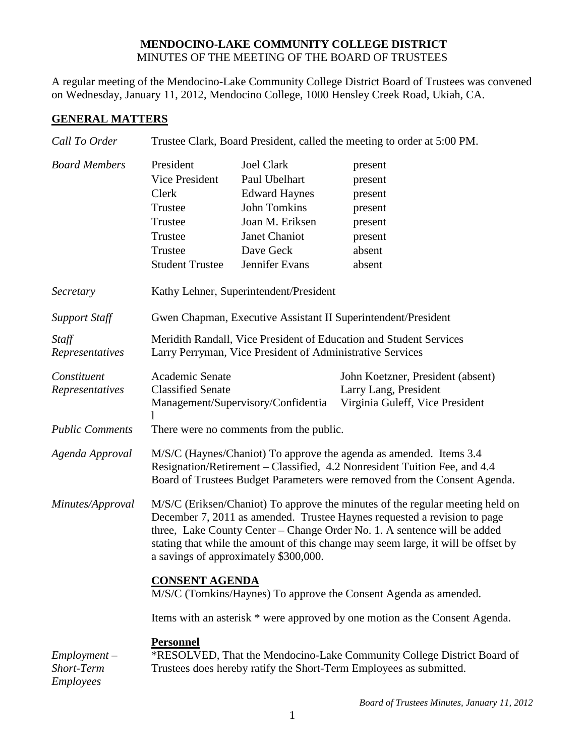## **MENDOCINO-LAKE COMMUNITY COLLEGE DISTRICT** MINUTES OF THE MEETING OF THE BOARD OF TRUSTEES

A regular meeting of the Mendocino-Lake Community College District Board of Trustees was convened on Wednesday, January 11, 2012, Mendocino College, 1000 Hensley Creek Road, Ukiah, CA.

## **GENERAL MATTERS**

| Call To Order                             | Trustee Clark, Board President, called the meeting to order at 5:00 PM.                                                                                                                                                                                                                                                                                             |                                                                                                                                                      |                                                                                               |  |
|-------------------------------------------|---------------------------------------------------------------------------------------------------------------------------------------------------------------------------------------------------------------------------------------------------------------------------------------------------------------------------------------------------------------------|------------------------------------------------------------------------------------------------------------------------------------------------------|-----------------------------------------------------------------------------------------------|--|
| <b>Board Members</b>                      | President<br>Vice President<br>Clerk<br>Trustee<br>Trustee<br>Trustee<br>Trustee<br><b>Student Trustee</b>                                                                                                                                                                                                                                                          | <b>Joel Clark</b><br>Paul Ubelhart<br><b>Edward Haynes</b><br><b>John Tomkins</b><br>Joan M. Eriksen<br>Janet Chaniot<br>Dave Geck<br>Jennifer Evans | present<br>present<br>present<br>present<br>present<br>present<br>absent<br>absent            |  |
| Secretary                                 | Kathy Lehner, Superintendent/President                                                                                                                                                                                                                                                                                                                              |                                                                                                                                                      |                                                                                               |  |
| <b>Support Staff</b>                      | Gwen Chapman, Executive Assistant II Superintendent/President                                                                                                                                                                                                                                                                                                       |                                                                                                                                                      |                                                                                               |  |
| Staff<br>Representatives                  | Meridith Randall, Vice President of Education and Student Services<br>Larry Perryman, Vice President of Administrative Services                                                                                                                                                                                                                                     |                                                                                                                                                      |                                                                                               |  |
| Constituent<br>Representatives            | Academic Senate<br><b>Classified Senate</b>                                                                                                                                                                                                                                                                                                                         | Management/Supervisory/Confidentia                                                                                                                   | John Koetzner, President (absent)<br>Larry Lang, President<br>Virginia Guleff, Vice President |  |
| <b>Public Comments</b>                    | There were no comments from the public.                                                                                                                                                                                                                                                                                                                             |                                                                                                                                                      |                                                                                               |  |
| Agenda Approval                           | M/S/C (Haynes/Chaniot) To approve the agenda as amended. Items 3.4<br>Resignation/Retirement – Classified, 4.2 Nonresident Tuition Fee, and 4.4<br>Board of Trustees Budget Parameters were removed from the Consent Agenda.                                                                                                                                        |                                                                                                                                                      |                                                                                               |  |
| Minutes/Approval                          | M/S/C (Eriksen/Chaniot) To approve the minutes of the regular meeting held on<br>December 7, 2011 as amended. Trustee Haynes requested a revision to page<br>three, Lake County Center - Change Order No. 1. A sentence will be added<br>stating that while the amount of this change may seem large, it will be offset by<br>a savings of approximately \$300,000. |                                                                                                                                                      |                                                                                               |  |
|                                           | <b>CONSENT AGENDA</b><br>M/S/C (Tomkins/Haynes) To approve the Consent Agenda as amended.                                                                                                                                                                                                                                                                           |                                                                                                                                                      |                                                                                               |  |
|                                           | Items with an asterisk * were approved by one motion as the Consent Agenda.                                                                                                                                                                                                                                                                                         |                                                                                                                                                      |                                                                                               |  |
| $Employment -$<br>Short-Term<br>Employees | <b>Personnel</b><br>*RESOLVED, That the Mendocino-Lake Community College District Board of<br>Trustees does hereby ratify the Short-Term Employees as submitted.                                                                                                                                                                                                    |                                                                                                                                                      |                                                                                               |  |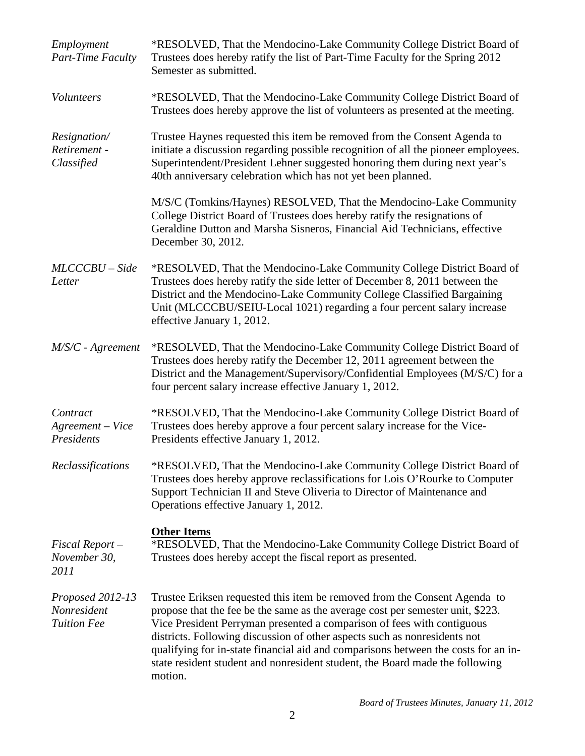| Employment<br>Part-Time Faculty                       | *RESOLVED, That the Mendocino-Lake Community College District Board of<br>Trustees does hereby ratify the list of Part-Time Faculty for the Spring 2012<br>Semester as submitted.                                                                                                                                                                                                                                                                                                                   |  |
|-------------------------------------------------------|-----------------------------------------------------------------------------------------------------------------------------------------------------------------------------------------------------------------------------------------------------------------------------------------------------------------------------------------------------------------------------------------------------------------------------------------------------------------------------------------------------|--|
| Volunteers                                            | *RESOLVED, That the Mendocino-Lake Community College District Board of<br>Trustees does hereby approve the list of volunteers as presented at the meeting.                                                                                                                                                                                                                                                                                                                                          |  |
| Resignation/<br>Retirement -<br>Classified            | Trustee Haynes requested this item be removed from the Consent Agenda to<br>initiate a discussion regarding possible recognition of all the pioneer employees.<br>Superintendent/President Lehner suggested honoring them during next year's<br>40th anniversary celebration which has not yet been planned.                                                                                                                                                                                        |  |
|                                                       | M/S/C (Tomkins/Haynes) RESOLVED, That the Mendocino-Lake Community<br>College District Board of Trustees does hereby ratify the resignations of<br>Geraldine Dutton and Marsha Sisneros, Financial Aid Technicians, effective<br>December 30, 2012.                                                                                                                                                                                                                                                 |  |
| $MLCCCBU-Side$<br>Letter                              | *RESOLVED, That the Mendocino-Lake Community College District Board of<br>Trustees does hereby ratify the side letter of December 8, 2011 between the<br>District and the Mendocino-Lake Community College Classified Bargaining<br>Unit (MLCCCBU/SEIU-Local 1021) regarding a four percent salary increase<br>effective January 1, 2012.                                                                                                                                                           |  |
| M/S/C - Agreement                                     | *RESOLVED, That the Mendocino-Lake Community College District Board of<br>Trustees does hereby ratify the December 12, 2011 agreement between the<br>District and the Management/Supervisory/Confidential Employees (M/S/C) for a<br>four percent salary increase effective January 1, 2012.                                                                                                                                                                                                        |  |
| Contract<br>Agreement - Vice<br>Presidents            | *RESOLVED, That the Mendocino-Lake Community College District Board of<br>Trustees does hereby approve a four percent salary increase for the Vice-<br>Presidents effective January 1, 2012.                                                                                                                                                                                                                                                                                                        |  |
| Reclassifications                                     | *RESOLVED, That the Mendocino-Lake Community College District Board of<br>Trustees does hereby approve reclassifications for Lois O'Rourke to Computer<br>Support Technician II and Steve Oliveria to Director of Maintenance and<br>Operations effective January 1, 2012.                                                                                                                                                                                                                          |  |
| Fiscal Report –<br>November 30,<br>2011               | <b>Other Items</b><br>*RESOLVED, That the Mendocino-Lake Community College District Board of<br>Trustees does hereby accept the fiscal report as presented.                                                                                                                                                                                                                                                                                                                                         |  |
| Proposed 2012-13<br>Nonresident<br><b>Tuition Fee</b> | Trustee Eriksen requested this item be removed from the Consent Agenda to<br>propose that the fee be the same as the average cost per semester unit, \$223.<br>Vice President Perryman presented a comparison of fees with contiguous<br>districts. Following discussion of other aspects such as nonresidents not<br>qualifying for in-state financial aid and comparisons between the costs for an in-<br>state resident student and nonresident student, the Board made the following<br>motion. |  |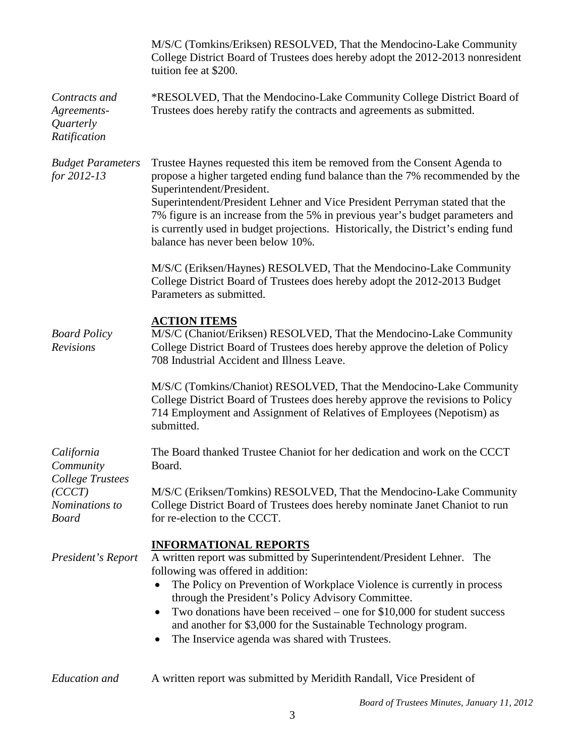|                                                                                                | M/S/C (Tomkins/Eriksen) RESOLVED, That the Mendocino-Lake Community<br>College District Board of Trustees does hereby adopt the 2012-2013 nonresident<br>tuition fee at \$200.                                                                                                                                                                                                                                                                                                  |  |  |
|------------------------------------------------------------------------------------------------|---------------------------------------------------------------------------------------------------------------------------------------------------------------------------------------------------------------------------------------------------------------------------------------------------------------------------------------------------------------------------------------------------------------------------------------------------------------------------------|--|--|
| Contracts and<br>Agreements-<br>Quarterly<br>Ratification                                      | *RESOLVED, That the Mendocino-Lake Community College District Board of<br>Trustees does hereby ratify the contracts and agreements as submitted.                                                                                                                                                                                                                                                                                                                                |  |  |
| <b>Budget Parameters</b><br>for 2012-13                                                        | Trustee Haynes requested this item be removed from the Consent Agenda to<br>propose a higher targeted ending fund balance than the 7% recommended by the<br>Superintendent/President.<br>Superintendent/President Lehner and Vice President Perryman stated that the<br>7% figure is an increase from the 5% in previous year's budget parameters and<br>is currently used in budget projections. Historically, the District's ending fund<br>balance has never been below 10%. |  |  |
|                                                                                                | M/S/C (Eriksen/Haynes) RESOLVED, That the Mendocino-Lake Community<br>College District Board of Trustees does hereby adopt the 2012-2013 Budget<br>Parameters as submitted.                                                                                                                                                                                                                                                                                                     |  |  |
| <b>Board Policy</b><br>Revisions                                                               | <b>ACTION ITEMS</b><br>M/S/C (Chaniot/Eriksen) RESOLVED, That the Mendocino-Lake Community<br>College District Board of Trustees does hereby approve the deletion of Policy<br>708 Industrial Accident and Illness Leave.                                                                                                                                                                                                                                                       |  |  |
|                                                                                                | M/S/C (Tomkins/Chaniot) RESOLVED, That the Mendocino-Lake Community<br>College District Board of Trustees does hereby approve the revisions to Policy<br>714 Employment and Assignment of Relatives of Employees (Nepotism) as<br>submitted.                                                                                                                                                                                                                                    |  |  |
| California<br>Community<br><b>College Trustees</b><br>(CCCT)<br>Nominations to<br><b>Board</b> | The Board thanked Trustee Chaniot for her dedication and work on the CCCT<br>Board.                                                                                                                                                                                                                                                                                                                                                                                             |  |  |
|                                                                                                | M/S/C (Eriksen/Tomkins) RESOLVED, That the Mendocino-Lake Community<br>College District Board of Trustees does hereby nominate Janet Chaniot to run<br>for re-election to the CCCT.                                                                                                                                                                                                                                                                                             |  |  |
| President's Report                                                                             | <b>INFORMATIONAL REPORTS</b><br>A written report was submitted by Superintendent/President Lehner. The<br>following was offered in addition:<br>The Policy on Prevention of Workplace Violence is currently in process<br>through the President's Policy Advisory Committee.<br>Two donations have been received – one for $$10,000$ for student success<br>and another for \$3,000 for the Sustainable Technology program.<br>The Inservice agenda was shared with Trustees.   |  |  |
| <b>Education</b> and                                                                           | A written report was submitted by Meridith Randall, Vice President of                                                                                                                                                                                                                                                                                                                                                                                                           |  |  |